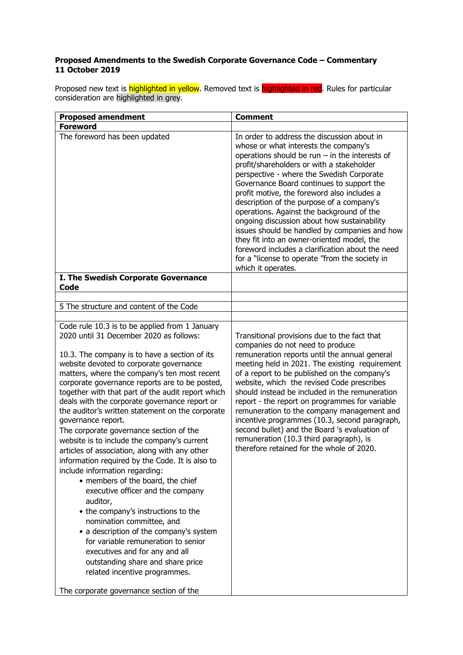## **Proposed Amendments to the Swedish Corporate Governance Code – Commentary 11 October 2019**

Proposed new text is highlighted in yellow. Removed text is highlighted in red. Rules for particular consideration are highlighted in grey.

| <b>Proposed amendment</b>                                                                                                                                                                                                                                                                                                                                                                                                                                                                                                                                                                                                                                                                                                                                                                                                                                                                                                                                                                                                                            | <b>Comment</b>                                                                                                                                                                                                                                                                                                                                                                                                                                                                                                                                                                                                                                                                                     |
|------------------------------------------------------------------------------------------------------------------------------------------------------------------------------------------------------------------------------------------------------------------------------------------------------------------------------------------------------------------------------------------------------------------------------------------------------------------------------------------------------------------------------------------------------------------------------------------------------------------------------------------------------------------------------------------------------------------------------------------------------------------------------------------------------------------------------------------------------------------------------------------------------------------------------------------------------------------------------------------------------------------------------------------------------|----------------------------------------------------------------------------------------------------------------------------------------------------------------------------------------------------------------------------------------------------------------------------------------------------------------------------------------------------------------------------------------------------------------------------------------------------------------------------------------------------------------------------------------------------------------------------------------------------------------------------------------------------------------------------------------------------|
| <b>Foreword</b>                                                                                                                                                                                                                                                                                                                                                                                                                                                                                                                                                                                                                                                                                                                                                                                                                                                                                                                                                                                                                                      |                                                                                                                                                                                                                                                                                                                                                                                                                                                                                                                                                                                                                                                                                                    |
| The foreword has been updated                                                                                                                                                                                                                                                                                                                                                                                                                                                                                                                                                                                                                                                                                                                                                                                                                                                                                                                                                                                                                        | In order to address the discussion about in<br>whose or what interests the company's<br>operations should be run $-$ in the interests of<br>profit/shareholders or with a stakeholder<br>perspective - where the Swedish Corporate<br>Governance Board continues to support the<br>profit motive, the foreword also includes a<br>description of the purpose of a company's<br>operations. Against the background of the<br>ongoing discussion about how sustainability<br>issues should be handled by companies and how<br>they fit into an owner-oriented model, the<br>foreword includes a clarification about the need<br>for a "license to operate "from the society in<br>which it operates. |
| I. The Swedish Corporate Governance<br>Code                                                                                                                                                                                                                                                                                                                                                                                                                                                                                                                                                                                                                                                                                                                                                                                                                                                                                                                                                                                                          |                                                                                                                                                                                                                                                                                                                                                                                                                                                                                                                                                                                                                                                                                                    |
|                                                                                                                                                                                                                                                                                                                                                                                                                                                                                                                                                                                                                                                                                                                                                                                                                                                                                                                                                                                                                                                      |                                                                                                                                                                                                                                                                                                                                                                                                                                                                                                                                                                                                                                                                                                    |
| 5 The structure and content of the Code                                                                                                                                                                                                                                                                                                                                                                                                                                                                                                                                                                                                                                                                                                                                                                                                                                                                                                                                                                                                              |                                                                                                                                                                                                                                                                                                                                                                                                                                                                                                                                                                                                                                                                                                    |
| Code rule 10.3 is to be applied from 1 January                                                                                                                                                                                                                                                                                                                                                                                                                                                                                                                                                                                                                                                                                                                                                                                                                                                                                                                                                                                                       |                                                                                                                                                                                                                                                                                                                                                                                                                                                                                                                                                                                                                                                                                                    |
| 2020 until 31 December 2020 as follows:<br>10.3. The company is to have a section of its<br>website devoted to corporate governance<br>matters, where the company's ten most recent<br>corporate governance reports are to be posted,<br>together with that part of the audit report which<br>deals with the corporate governance report or<br>the auditor's written statement on the corporate<br>governance report.<br>The corporate governance section of the<br>website is to include the company's current<br>articles of association, along with any other<br>information required by the Code. It is also to<br>include information regarding:<br>• members of the board, the chief<br>executive officer and the company<br>auditor,<br>• the company's instructions to the<br>nomination committee, and<br>• a description of the company's system<br>for variable remuneration to senior<br>executives and for any and all<br>outstanding share and share price<br>related incentive programmes.<br>The corporate governance section of the | Transitional provisions due to the fact that<br>companies do not need to produce<br>remuneration reports until the annual general<br>meeting held in 2021. The existing requirement<br>of a report to be published on the company's<br>website, which the revised Code prescribes<br>should instead be included in the remuneration<br>report - the report on programmes for variable<br>remuneration to the company management and<br>incentive programmes (10.3, second paragraph,<br>second bullet) and the Board 's evaluation of<br>remuneration (10.3 third paragraph), is<br>therefore retained for the whole of 2020.                                                                      |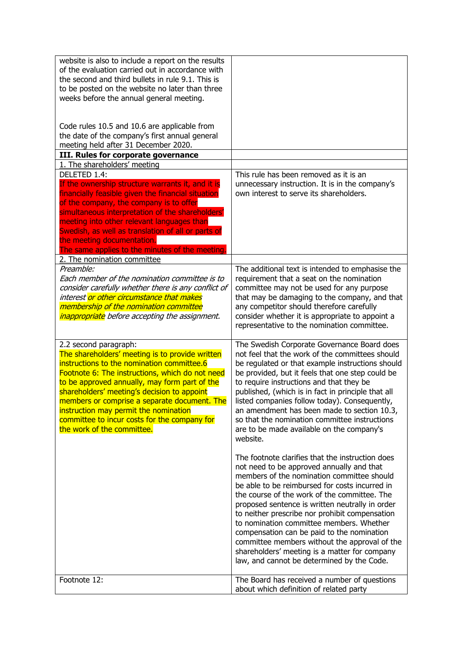| website is also to include a report on the results<br>of the evaluation carried out in accordance with<br>the second and third bullets in rule 9.1. This is<br>to be posted on the website no later than three<br>weeks before the annual general meeting.<br>Code rules 10.5 and 10.6 are applicable from                                                                                                                                       |                                                                                                                                                                                                                                                                                                                                                                                                                                                                                                                                                                                              |
|--------------------------------------------------------------------------------------------------------------------------------------------------------------------------------------------------------------------------------------------------------------------------------------------------------------------------------------------------------------------------------------------------------------------------------------------------|----------------------------------------------------------------------------------------------------------------------------------------------------------------------------------------------------------------------------------------------------------------------------------------------------------------------------------------------------------------------------------------------------------------------------------------------------------------------------------------------------------------------------------------------------------------------------------------------|
| the date of the company's first annual general<br>meeting held after 31 December 2020.                                                                                                                                                                                                                                                                                                                                                           |                                                                                                                                                                                                                                                                                                                                                                                                                                                                                                                                                                                              |
| III. Rules for corporate governance                                                                                                                                                                                                                                                                                                                                                                                                              |                                                                                                                                                                                                                                                                                                                                                                                                                                                                                                                                                                                              |
| 1. The shareholders' meeting<br>DELETED 1.4:                                                                                                                                                                                                                                                                                                                                                                                                     | This rule has been removed as it is an                                                                                                                                                                                                                                                                                                                                                                                                                                                                                                                                                       |
| If the ownership structure warrants it, and it is<br>financially feasible given the financial situation<br>of the company, the company is to offer<br>simultaneous interpretation of the shareholders'<br>meeting into other relevant languages than<br>Swedish, as well as translation of all or parts of<br>the meeting documentation.<br>The same applies to the minutes of the meeting.                                                      | unnecessary instruction. It is in the company's<br>own interest to serve its shareholders.                                                                                                                                                                                                                                                                                                                                                                                                                                                                                                   |
| 2. The nomination committee                                                                                                                                                                                                                                                                                                                                                                                                                      |                                                                                                                                                                                                                                                                                                                                                                                                                                                                                                                                                                                              |
| Preamble:<br>Each member of the nomination committee is to<br>consider carefully whether there is any conflict of<br>interest <mark>or other circumstance that makes</mark><br>membership of the nomination committee<br><i>inappropriate</i> before accepting the assignment.                                                                                                                                                                   | The additional text is intended to emphasise the<br>requirement that a seat on the nomination<br>committee may not be used for any purpose<br>that may be damaging to the company, and that<br>any competitor should therefore carefully<br>consider whether it is appropriate to appoint a<br>representative to the nomination committee.                                                                                                                                                                                                                                                   |
| 2.2 second paragraph:<br>The shareholders' meeting is to provide written<br>instructions to the nomination committee.6<br>Footnote 6: The instructions, which do not need<br>to be approved annually, may form part of the<br>shareholders' meeting's decision to appoint<br>members or comprise a separate document. The<br>instruction may permit the nomination<br>committee to incur costs for the company for<br>the work of the committee. | The Swedish Corporate Governance Board does<br>not feel that the work of the committees should<br>be regulated or that example instructions should<br>be provided, but it feels that one step could be<br>to require instructions and that they be<br>published, (which is in fact in principle that all<br>listed companies follow today). Consequently,<br>an amendment has been made to section 10.3,<br>so that the nomination committee instructions<br>are to be made available on the company's<br>website.                                                                           |
|                                                                                                                                                                                                                                                                                                                                                                                                                                                  | The footnote clarifies that the instruction does<br>not need to be approved annually and that<br>members of the nomination committee should<br>be able to be reimbursed for costs incurred in<br>the course of the work of the committee. The<br>proposed sentence is written neutrally in order<br>to neither prescribe nor prohibit compensation<br>to nomination committee members. Whether<br>compensation can be paid to the nomination<br>committee members without the approval of the<br>shareholders' meeting is a matter for company<br>law, and cannot be determined by the Code. |
| Footnote 12:                                                                                                                                                                                                                                                                                                                                                                                                                                     | The Board has received a number of questions<br>about which definition of related party                                                                                                                                                                                                                                                                                                                                                                                                                                                                                                      |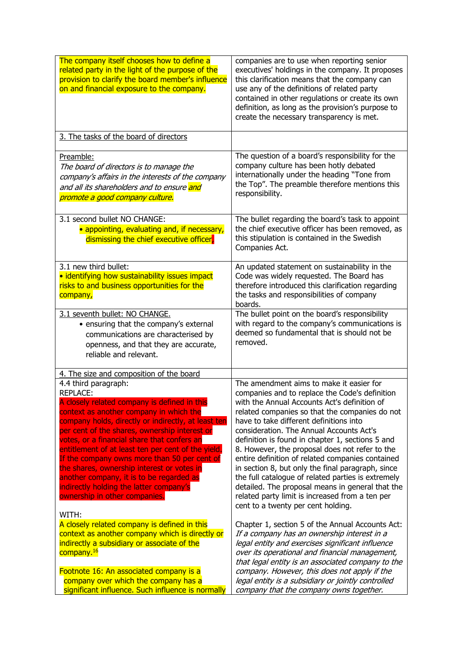| The company itself chooses how to define a<br>related party in the light of the purpose of the<br>provision to clarify the board member's influence<br>on and financial exposure to the company.                                                                                                                                                                                                                                                                                                                                                                               | companies are to use when reporting senior<br>executives' holdings in the company. It proposes<br>this clarification means that the company can<br>use any of the definitions of related party<br>contained in other regulations or create its own<br>definition, as long as the provision's purpose to<br>create the necessary transparency is met.                                                                                                                                                                                                                                                                                                                                                  |
|--------------------------------------------------------------------------------------------------------------------------------------------------------------------------------------------------------------------------------------------------------------------------------------------------------------------------------------------------------------------------------------------------------------------------------------------------------------------------------------------------------------------------------------------------------------------------------|-------------------------------------------------------------------------------------------------------------------------------------------------------------------------------------------------------------------------------------------------------------------------------------------------------------------------------------------------------------------------------------------------------------------------------------------------------------------------------------------------------------------------------------------------------------------------------------------------------------------------------------------------------------------------------------------------------|
| 3. The tasks of the board of directors                                                                                                                                                                                                                                                                                                                                                                                                                                                                                                                                         |                                                                                                                                                                                                                                                                                                                                                                                                                                                                                                                                                                                                                                                                                                       |
| Preamble:<br>The board of directors is to manage the<br>company's affairs in the interests of the company<br>and all its shareholders and to ensure and<br>promote a good company culture.                                                                                                                                                                                                                                                                                                                                                                                     | The question of a board's responsibility for the<br>company culture has been hotly debated<br>internationally under the heading "Tone from<br>the Top". The preamble therefore mentions this<br>responsibility.                                                                                                                                                                                                                                                                                                                                                                                                                                                                                       |
| 3.1 second bullet NO CHANGE:<br>• appointing, evaluating and, if necessary,<br>dismissing the chief executive officer,                                                                                                                                                                                                                                                                                                                                                                                                                                                         | The bullet regarding the board's task to appoint<br>the chief executive officer has been removed, as<br>this stipulation is contained in the Swedish<br>Companies Act.                                                                                                                                                                                                                                                                                                                                                                                                                                                                                                                                |
| 3.1 new third bullet:<br>· identifying how sustainability issues impact<br>risks to and business opportunities for the<br>company,                                                                                                                                                                                                                                                                                                                                                                                                                                             | An updated statement on sustainability in the<br>Code was widely requested. The Board has<br>therefore introduced this clarification regarding<br>the tasks and responsibilities of company<br>boards.                                                                                                                                                                                                                                                                                                                                                                                                                                                                                                |
| 3.1 seventh bullet: NO CHANGE.<br>• ensuring that the company's external<br>communications are characterised by<br>openness, and that they are accurate,<br>reliable and relevant.                                                                                                                                                                                                                                                                                                                                                                                             | The bullet point on the board's responsibility<br>with regard to the company's communications is<br>deemed so fundamental that is should not be<br>removed.                                                                                                                                                                                                                                                                                                                                                                                                                                                                                                                                           |
| 4. The size and composition of the board                                                                                                                                                                                                                                                                                                                                                                                                                                                                                                                                       |                                                                                                                                                                                                                                                                                                                                                                                                                                                                                                                                                                                                                                                                                                       |
| 4.4 third paragraph:<br><b>REPLACE:</b><br>A closely related company is defined in this<br>context as another company in which the<br>company holds, directly or indirectly, at least ten<br>per cent of the shares, ownership interest or<br>votes, or a financial share that confers an<br>entitlement of at least ten per cent of the yield.<br>If the company owns more than 50 per cent of<br>the shares, ownership interest or votes in<br>another company, it is to be regarded as<br>indirectly holding the latter company's<br>ownership in other companies.<br>WITH: | The amendment aims to make it easier for<br>companies and to replace the Code's definition<br>with the Annual Accounts Act's definition of<br>related companies so that the companies do not<br>have to take different definitions into<br>consideration. The Annual Accounts Act's<br>definition is found in chapter 1, sections 5 and<br>8. However, the proposal does not refer to the<br>entire definition of related companies contained<br>in section 8, but only the final paragraph, since<br>the full catalogue of related parties is extremely<br>detailed. The proposal means in general that the<br>related party limit is increased from a ten per<br>cent to a twenty per cent holding. |
| A closely related company is defined in this<br>context as another company which is directly or<br>indirectly a subsidiary or associate of the<br>company. <sup>16</sup><br>Footnote 16: An associated company is a<br>company over which the company has a                                                                                                                                                                                                                                                                                                                    | Chapter 1, section 5 of the Annual Accounts Act:<br>If a company has an ownership interest in a<br>legal entity and exercises significant influence<br>over its operational and financial management,<br>that legal entity is an associated company to the<br>company. However, this does not apply if the<br>legal entity is a subsidiary or jointly controlled                                                                                                                                                                                                                                                                                                                                      |
| significant influence. Such influence is normally                                                                                                                                                                                                                                                                                                                                                                                                                                                                                                                              | company that the company owns together.                                                                                                                                                                                                                                                                                                                                                                                                                                                                                                                                                                                                                                                               |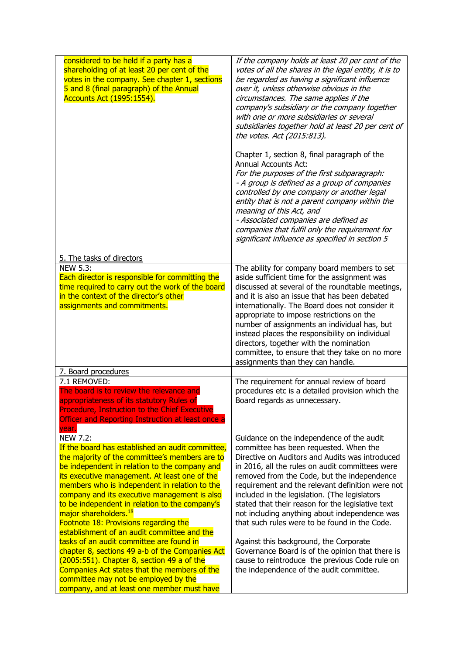| considered to be held if a party has a<br>shareholding of at least 20 per cent of the<br>votes in the company. See chapter 1, sections<br>5 and 8 (final paragraph) of the Annual<br>Accounts Act (1995:1554).                                                                                                                                                                                                                                                                                                                                                                                                                                                                                                                                                                             | If the company holds at least 20 per cent of the<br>votes of all the shares in the legal entity, it is to<br>be regarded as having a significant influence<br>over it, unless otherwise obvious in the<br>circumstances. The same applies if the<br>company's subsidiary or the company together<br>with one or more subsidiaries or several<br>subsidiaries together hold at least 20 per cent of<br>the votes. Act (2015:813).<br>Chapter 1, section 8, final paragraph of the<br><b>Annual Accounts Act:</b><br>For the purposes of the first subparagraph:<br>- A group is defined as a group of companies<br>controlled by one company or another legal<br>entity that is not a parent company within the<br>meaning of this Act, and |
|--------------------------------------------------------------------------------------------------------------------------------------------------------------------------------------------------------------------------------------------------------------------------------------------------------------------------------------------------------------------------------------------------------------------------------------------------------------------------------------------------------------------------------------------------------------------------------------------------------------------------------------------------------------------------------------------------------------------------------------------------------------------------------------------|--------------------------------------------------------------------------------------------------------------------------------------------------------------------------------------------------------------------------------------------------------------------------------------------------------------------------------------------------------------------------------------------------------------------------------------------------------------------------------------------------------------------------------------------------------------------------------------------------------------------------------------------------------------------------------------------------------------------------------------------|
|                                                                                                                                                                                                                                                                                                                                                                                                                                                                                                                                                                                                                                                                                                                                                                                            | - Associated companies are defined as<br>companies that fulfil only the requirement for<br>significant influence as specified in section 5                                                                                                                                                                                                                                                                                                                                                                                                                                                                                                                                                                                                 |
| 5. The tasks of directors                                                                                                                                                                                                                                                                                                                                                                                                                                                                                                                                                                                                                                                                                                                                                                  |                                                                                                                                                                                                                                                                                                                                                                                                                                                                                                                                                                                                                                                                                                                                            |
| <b>NEW 5.3:</b><br>Each director is responsible for committing the<br>time required to carry out the work of the board<br>in the context of the director's other<br>assignments and commitments.                                                                                                                                                                                                                                                                                                                                                                                                                                                                                                                                                                                           | The ability for company board members to set<br>aside sufficient time for the assignment was<br>discussed at several of the roundtable meetings,<br>and it is also an issue that has been debated<br>internationally. The Board does not consider it<br>appropriate to impose restrictions on the<br>number of assignments an individual has, but<br>instead places the responsibility on individual<br>directors, together with the nomination<br>committee, to ensure that they take on no more<br>assignments than they can handle.                                                                                                                                                                                                     |
| 7. Board procedures                                                                                                                                                                                                                                                                                                                                                                                                                                                                                                                                                                                                                                                                                                                                                                        |                                                                                                                                                                                                                                                                                                                                                                                                                                                                                                                                                                                                                                                                                                                                            |
| 7.1 REMOVED:<br>The board is to review the relevance and<br>appropriateness of its statutory Rules of<br><b>Procedure, Instruction to the Chief Executive</b><br><b>Officer and Reporting Instruction at least once a</b><br>year.                                                                                                                                                                                                                                                                                                                                                                                                                                                                                                                                                         | The requirement for annual review of board<br>procedures etc is a detailed provision which the<br>Board regards as unnecessary.                                                                                                                                                                                                                                                                                                                                                                                                                                                                                                                                                                                                            |
| <b>NEW 7.2:</b><br>If the board has established an audit committee,<br>the majority of the committee's members are to<br>be independent in relation to the company and<br>its executive management. At least one of the<br>members who is independent in relation to the<br>company and its executive management is also<br>to be independent in relation to the company's<br>major shareholders. <sup>18</sup><br>Footnote 18: Provisions regarding the<br>establishment of an audit committee and the<br>tasks of an audit committee are found in<br>chapter 8, sections 49 a-b of the Companies Act<br>(2005:551). Chapter 8, section 49 a of the<br>Companies Act states that the members of the<br>committee may not be employed by the<br>company, and at least one member must have | Guidance on the independence of the audit<br>committee has been requested. When the<br>Directive on Auditors and Audits was introduced<br>in 2016, all the rules on audit committees were<br>removed from the Code, but the independence<br>requirement and the relevant definition were not<br>included in the legislation. (The legislators<br>stated that their reason for the legislative text<br>not including anything about independence was<br>that such rules were to be found in the Code.<br>Against this background, the Corporate<br>Governance Board is of the opinion that there is<br>cause to reintroduce the previous Code rule on<br>the independence of the audit committee.                                           |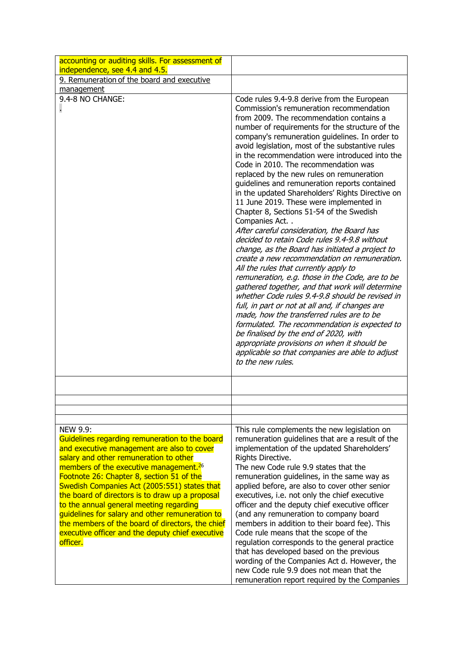| accounting or auditing skills. For assessment of<br>independence, see 4.4 and 4.5.                                                                                                                                                                                                                                                                                                                                                                                                                                                                                                |                                                                                                                                                                                                                                                                                                                                                                                                                                                                                                                                                                                                                                                                                                                                                                                                                                                                                                                                                                                                                                                                                                                                                                                                                                                                                                                                                                      |
|-----------------------------------------------------------------------------------------------------------------------------------------------------------------------------------------------------------------------------------------------------------------------------------------------------------------------------------------------------------------------------------------------------------------------------------------------------------------------------------------------------------------------------------------------------------------------------------|----------------------------------------------------------------------------------------------------------------------------------------------------------------------------------------------------------------------------------------------------------------------------------------------------------------------------------------------------------------------------------------------------------------------------------------------------------------------------------------------------------------------------------------------------------------------------------------------------------------------------------------------------------------------------------------------------------------------------------------------------------------------------------------------------------------------------------------------------------------------------------------------------------------------------------------------------------------------------------------------------------------------------------------------------------------------------------------------------------------------------------------------------------------------------------------------------------------------------------------------------------------------------------------------------------------------------------------------------------------------|
| 9. Remuneration of the board and executive                                                                                                                                                                                                                                                                                                                                                                                                                                                                                                                                        |                                                                                                                                                                                                                                                                                                                                                                                                                                                                                                                                                                                                                                                                                                                                                                                                                                                                                                                                                                                                                                                                                                                                                                                                                                                                                                                                                                      |
| management                                                                                                                                                                                                                                                                                                                                                                                                                                                                                                                                                                        |                                                                                                                                                                                                                                                                                                                                                                                                                                                                                                                                                                                                                                                                                                                                                                                                                                                                                                                                                                                                                                                                                                                                                                                                                                                                                                                                                                      |
| 9.4-8 NO CHANGE:                                                                                                                                                                                                                                                                                                                                                                                                                                                                                                                                                                  | Code rules 9.4-9.8 derive from the European<br>Commission's remuneration recommendation<br>from 2009. The recommendation contains a<br>number of requirements for the structure of the<br>company's remuneration guidelines. In order to<br>avoid legislation, most of the substantive rules<br>in the recommendation were introduced into the<br>Code in 2010. The recommendation was<br>replaced by the new rules on remuneration<br>guidelines and remuneration reports contained<br>in the updated Shareholders' Rights Directive on<br>11 June 2019. These were implemented in<br>Chapter 8, Sections 51-54 of the Swedish<br>Companies Act<br>After careful consideration, the Board has<br>decided to retain Code rules 9.4-9.8 without<br>change, as the Board has initiated a project to<br>create a new recommendation on remuneration.<br>All the rules that currently apply to<br>remuneration, e.g. those in the Code, are to be<br>gathered together, and that work will determine<br>whether Code rules 9.4-9.8 should be revised in<br>full, in part or not at all and, if changes are<br>made, how the transferred rules are to be<br>formulated. The recommendation is expected to<br>be finalised by the end of 2020, with<br>appropriate provisions on when it should be<br>applicable so that companies are able to adjust<br>to the new rules. |
|                                                                                                                                                                                                                                                                                                                                                                                                                                                                                                                                                                                   |                                                                                                                                                                                                                                                                                                                                                                                                                                                                                                                                                                                                                                                                                                                                                                                                                                                                                                                                                                                                                                                                                                                                                                                                                                                                                                                                                                      |
|                                                                                                                                                                                                                                                                                                                                                                                                                                                                                                                                                                                   |                                                                                                                                                                                                                                                                                                                                                                                                                                                                                                                                                                                                                                                                                                                                                                                                                                                                                                                                                                                                                                                                                                                                                                                                                                                                                                                                                                      |
|                                                                                                                                                                                                                                                                                                                                                                                                                                                                                                                                                                                   |                                                                                                                                                                                                                                                                                                                                                                                                                                                                                                                                                                                                                                                                                                                                                                                                                                                                                                                                                                                                                                                                                                                                                                                                                                                                                                                                                                      |
| <b>NEW 9.9:</b><br>Guidelines regarding remuneration to the board<br>and executive management are also to cover<br>salary and other remuneration to other<br>members of the executive management. <sup>26</sup><br>Footnote 26: Chapter 8, section 51 of the<br>Swedish Companies Act (2005:551) states that<br>the board of directors is to draw up a proposal<br>to the annual general meeting regarding<br>guidelines for salary and other remuneration to<br>the members of the board of directors, the chief<br>executive officer and the deputy chief executive<br>officer. | This rule complements the new legislation on<br>remuneration guidelines that are a result of the<br>implementation of the updated Shareholders'<br>Rights Directive.<br>The new Code rule 9.9 states that the<br>remuneration guidelines, in the same way as<br>applied before, are also to cover other senior<br>executives, i.e. not only the chief executive<br>officer and the deputy chief executive officer<br>(and any remuneration to company board<br>members in addition to their board fee). This<br>Code rule means that the scope of the<br>regulation corresponds to the general practice<br>that has developed based on the previous<br>wording of the Companies Act d. However, the<br>new Code rule 9.9 does not mean that the<br>remuneration report required by the Companies                                                                                                                                                                                                                                                                                                                                                                                                                                                                                                                                                                     |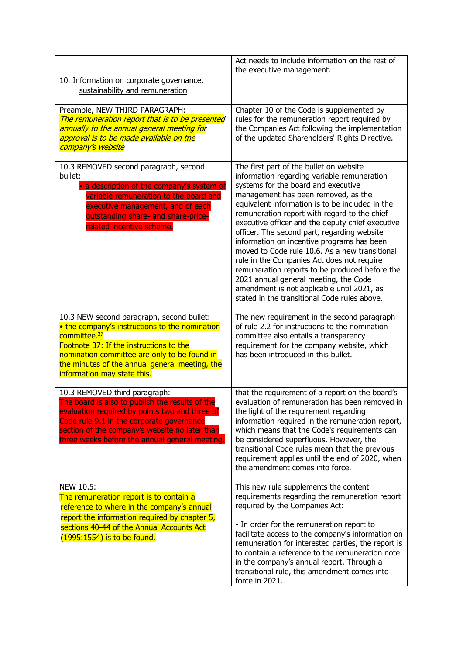|                                                                                                                                                                                                                                                                                                     | Act needs to include information on the rest of<br>the executive management.                                                                                                                                                                                                                                                                                                                                                                                                                                                                                                                                                                                                                                      |
|-----------------------------------------------------------------------------------------------------------------------------------------------------------------------------------------------------------------------------------------------------------------------------------------------------|-------------------------------------------------------------------------------------------------------------------------------------------------------------------------------------------------------------------------------------------------------------------------------------------------------------------------------------------------------------------------------------------------------------------------------------------------------------------------------------------------------------------------------------------------------------------------------------------------------------------------------------------------------------------------------------------------------------------|
| 10. Information on corporate governance,<br>sustainability and remuneration                                                                                                                                                                                                                         |                                                                                                                                                                                                                                                                                                                                                                                                                                                                                                                                                                                                                                                                                                                   |
| Preamble, NEW THIRD PARAGRAPH:<br>The remuneration report that is to be presented<br>annually to the annual general meeting for<br>approval is to be made available on the<br>company's website                                                                                                     | Chapter 10 of the Code is supplemented by<br>rules for the remuneration report required by<br>the Companies Act following the implementation<br>of the updated Shareholders' Rights Directive.                                                                                                                                                                                                                                                                                                                                                                                                                                                                                                                    |
| 10.3 REMOVED second paragraph, second<br>bullet:<br>• a description of the company's system of<br>variable remuneration to the board and<br>executive management, and of each<br>outstanding share- and share-price-<br>related incentive scheme.                                                   | The first part of the bullet on website<br>information regarding variable remuneration<br>systems for the board and executive<br>management has been removed, as the<br>equivalent information is to be included in the<br>remuneration report with regard to the chief<br>executive officer and the deputy chief executive<br>officer. The second part, regarding website<br>information on incentive programs has been<br>moved to Code rule 10.6. As a new transitional<br>rule in the Companies Act does not require<br>remuneration reports to be produced before the<br>2021 annual general meeting, the Code<br>amendment is not applicable until 2021, as<br>stated in the transitional Code rules above. |
| 10.3 NEW second paragraph, second bullet:<br>• the company's instructions to the nomination<br>committee. <sup>37</sup><br>Footnote 37: If the instructions to the<br>nomination committee are only to be found in<br>the minutes of the annual general meeting, the<br>information may state this. | The new requirement in the second paragraph<br>of rule 2.2 for instructions to the nomination<br>committee also entails a transparency<br>requirement for the company website, which<br>has been introduced in this bullet.                                                                                                                                                                                                                                                                                                                                                                                                                                                                                       |
| 10.3 REMOVED third paragraph:<br>The board is also to publish the results of the<br>evaluation required by points two and three of<br>Code rule 9.1 in the corporate governance<br>section of the company's website no later than<br>three weeks before the annual general meeting.                 | that the requirement of a report on the board's<br>evaluation of remuneration has been removed in<br>the light of the requirement regarding<br>information required in the remuneration report,<br>which means that the Code's requirements can<br>be considered superfluous. However, the<br>transitional Code rules mean that the previous<br>requirement applies until the end of 2020, when<br>the amendment comes into force.                                                                                                                                                                                                                                                                                |
| NEW 10.5:<br>The remuneration report is to contain a<br>reference to where in the company's annual<br>report the information required by chapter 5,<br>sections 40-44 of the Annual Accounts Act<br>(1995:1554) is to be found.                                                                     | This new rule supplements the content<br>requirements regarding the remuneration report<br>required by the Companies Act:<br>- In order for the remuneration report to<br>facilitate access to the company's information on<br>remuneration for interested parties, the report is<br>to contain a reference to the remuneration note<br>in the company's annual report. Through a<br>transitional rule, this amendment comes into<br>force in 2021.                                                                                                                                                                                                                                                               |